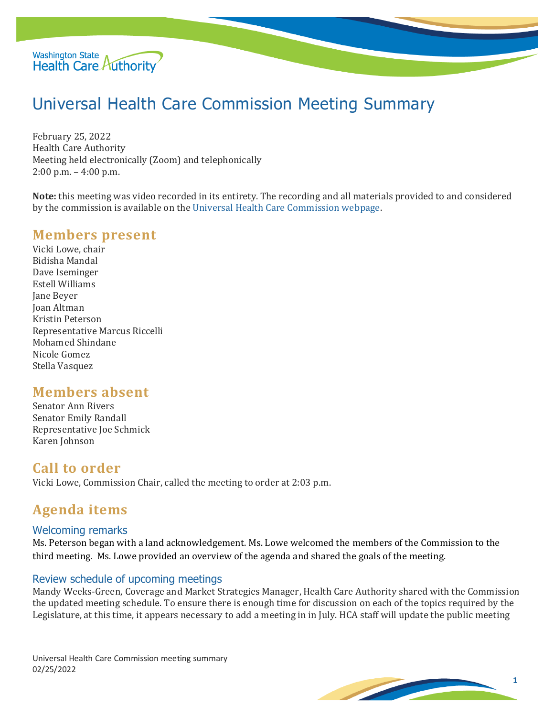

# Universal Health Care Commission Meeting Summary

February 25, 2022 Health Care Authority Meeting held electronically (Zoom) and telephonically 2:00 p.m. – 4:00 p.m.

**Note:** this meeting was video recorded in its entirety. The recording and all materials provided to and considered by the commission is available on the [Universal Health Care Commission webpage.](file://HCAFLCSP002/SECURED/DPA%20Policy/Cost%20Board/Minutes/Universal%20Health%20Care%20Commission%20webpage) 

## **Members present**

Vicki Lowe, chair Bidisha Mandal Dave Iseminger Estell Williams Jane Beyer Joan Altman Kristin Peterson Representative Marcus Riccelli Mohamed Shindane Nicole Gomez Stella Vasquez

## **Members absent**

Senator Ann Rivers Senator Emily Randall Representative Joe Schmick Karen Johnson

### **Call to order**

Vicki Lowe, Commission Chair, called the meeting to order at 2:03 p.m.

# **Agenda items**

#### Welcoming remarks

Ms. Peterson began with a land acknowledgement. Ms. Lowe welcomed the members of the Commission to the third meeting. Ms. Lowe provided an overview of the agenda and shared the goals of the meeting.

#### Review schedule of upcoming meetings

Mandy Weeks-Green, Coverage and Market Strategies Manager, Health Care Authority shared with the Commission the updated meeting schedule. To ensure there is enough time for discussion on each of the topics required by the Legislature, at this time, it appears necessary to add a meeting in in July. HCA staff will update the public meeting

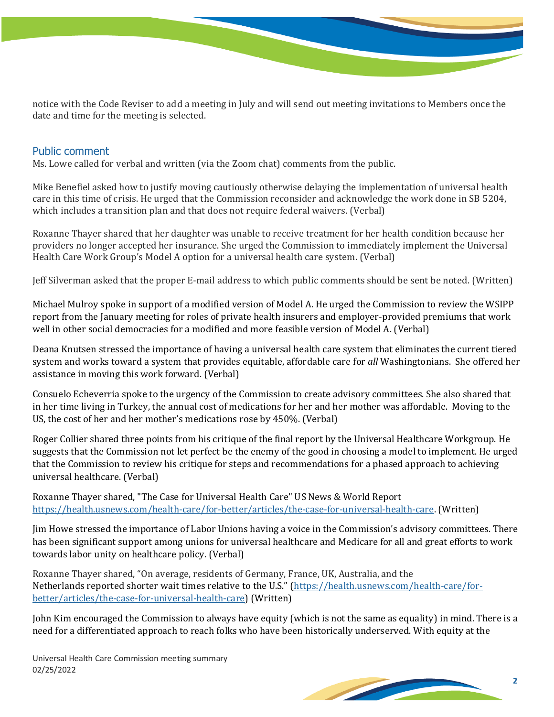notice with the Code Reviser to add a meeting in July and will send out meeting invitations to Members once the date and time for the meeting is selected.

#### Public comment

Ms. Lowe called for verbal and written (via the Zoom chat) comments from the public.

Mike Benefiel asked how to justify moving cautiously otherwise delaying the implementation of universal health care in this time of crisis. He urged that the Commission reconsider and acknowledge the work done in SB 5204, which includes a transition plan and that does not require federal waivers. (Verbal)

Roxanne Thayer shared that her daughter was unable to receive treatment for her health condition because her providers no longer accepted her insurance. She urged the Commission to immediately implement the Universal Health Care Work Group's Model A option for a universal health care system. (Verbal)

Jeff Silverman asked that the proper E-mail address to which public comments should be sent be noted. (Written)

Michael Mulroy spoke in support of a modified version of Model A. He urged the Commission to review the WSIPP report from the January meeting for roles of private health insurers and employer-provided premiums that work well in other social democracies for a modified and more feasible version of Model A. (Verbal)

Deana Knutsen stressed the importance of having a universal health care system that eliminates the current tiered system and works toward a system that provides equitable, affordable care for *all* Washingtonians. She offered her assistance in moving this work forward. (Verbal)

Consuelo Echeverria spoke to the urgency of the Commission to create advisory committees. She also shared that in her time living in Turkey, the annual cost of medications for her and her mother was affordable. Moving to the US, the cost of her and her mother's medications rose by 450%. (Verbal)

Roger Collier shared three points from his critique of the final report by the Universal Healthcare Workgroup. He suggests that the Commission not let perfect be the enemy of the good in choosing a model to implement. He urged that the Commission to review his critique for steps and recommendations for a phased approach to achieving universal healthcare. (Verbal)

Roxanne Thayer shared, "The Case for Universal Health Care" US News & World Report [https://health.usnews.com/health-care/for-better/articles/the-case-for-universal-health-care.](https://health.usnews.com/health-care/for-better/articles/the-case-for-universal-health-care) (Written)

Jim Howe stressed the importance of Labor Unions having a voice in the Commission's advisory committees. There has been significant support among unions for universal healthcare and Medicare for all and great efforts to work towards labor unity on healthcare policy. (Verbal)

Roxanne Thayer shared, "On average, residents of Germany, France, UK, Australia, and the Netherlands reported shorter wait times relative to the U.S." [\(https://health.usnews.com/health-care/for](https://health.usnews.com/health-care/for-better/articles/the-case-for-universal-health-care)[better/articles/the-case-for-universal-health-care\)](https://health.usnews.com/health-care/for-better/articles/the-case-for-universal-health-care) (Written)

John Kim encouraged the Commission to always have equity (which is not the same as equality) in mind. There is a need for a differentiated approach to reach folks who have been historically underserved. With equity at the

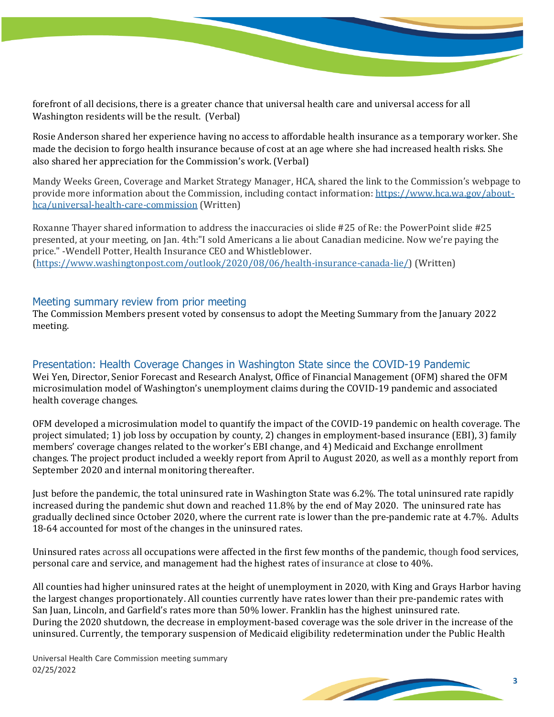forefront of all decisions, there is a greater chance that universal health care and universal access for all Washington residents will be the result. (Verbal)

Rosie Anderson shared her experience having no access to affordable health insurance as a temporary worker. She made the decision to forgo health insurance because of cost at an age where she had increased health risks. She also shared her appreciation for the Commission's work. (Verbal)

Mandy Weeks Green, Coverage and Market Strategy Manager, HCA, shared the link to the Commission's webpage to provide more information about the Commission, including contact information: [https://www.hca.wa.gov/about](https://www.hca.wa.gov/about-hca/universal-health-care-commission)[hca/universal-health-care-commission](https://www.hca.wa.gov/about-hca/universal-health-care-commission) (Written)

Roxanne Thayer shared information to address the inaccuracies oi slide #25 of Re: the PowerPoint slide #25 presented, at your meeting, on Jan. 4th:"I sold Americans a lie about Canadian medicine. Now we're paying the price." -Wendell Potter, Health Insurance CEO and Whistleblower. [\(https://www.washingtonpost.com/outlook/2020/08/06/health-insurance-canada-lie/\)](https://www.washingtonpost.com/outlook/2020/08/06/health-insurance-canada-lie/) (Written)

#### Meeting summary review from prior meeting

The Commission Members present voted by consensus to adopt the Meeting Summary from the January 2022 meeting.

#### Presentation: Health Coverage Changes in Washington State since the COVID-19 Pandemic

Wei Yen, Director, Senior Forecast and Research Analyst, Office of Financial Management (OFM) shared the OFM microsimulation model of Washington's unemployment claims during the COVID-19 pandemic and associated health coverage changes.

OFM developed a microsimulation model to quantify the impact of the COVID-19 pandemic on health coverage. The project simulated; 1) job loss by occupation by county, 2) changes in employment-based insurance (EBI), 3) family members' coverage changes related to the worker's EBI change, and 4) Medicaid and Exchange enrollment changes. The project product included a weekly report from April to August 2020, as well as a monthly report from September 2020 and internal monitoring thereafter.

Just before the pandemic, the total uninsured rate in Washington State was 6.2%. The total uninsured rate rapidly increased during the pandemic shut down and reached 11.8% by the end of May 2020. The uninsured rate has gradually declined since October 2020, where the current rate is lower than the pre-pandemic rate at 4.7%. Adults 18-64 accounted for most of the changes in the uninsured rates.

Uninsured rates across all occupations were affected in the first few months of the pandemic, though food services, personal care and service, and management had the highest rates of insurance at close to 40%.

All counties had higher uninsured rates at the height of unemployment in 2020, with King and Grays Harbor having the largest changes proportionately. All counties currently have rates lower than their pre-pandemic rates with San Juan, Lincoln, and Garfield's rates more than 50% lower. Franklin has the highest uninsured rate. During the 2020 shutdown, the decrease in employment-based coverage was the sole driver in the increase of the uninsured. Currently, the temporary suspension of Medicaid eligibility redetermination under the Public Health

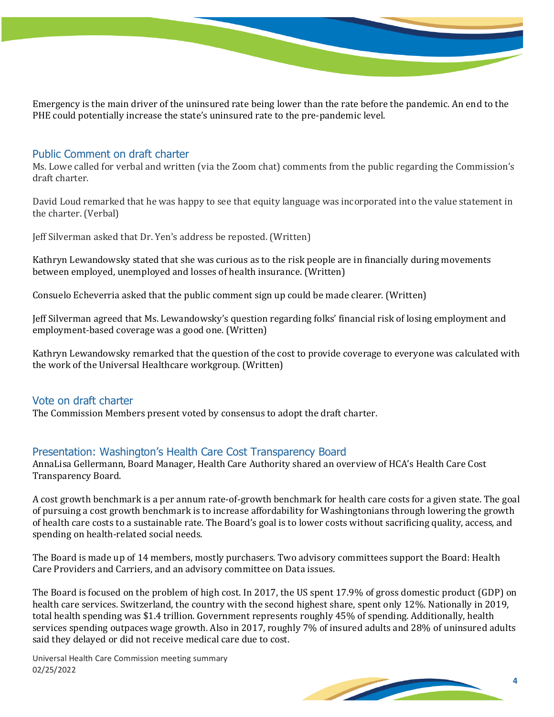

Emergency is the main driver of the uninsured rate being lower than the rate before the pandemic. An end to the PHE could potentially increase the state's uninsured rate to the pre-pandemic level.

#### Public Comment on draft charter

Ms. Lowe called for verbal and written (via the Zoom chat) comments from the public regarding the Commission's draft charter.

David Loud remarked that he was happy to see that equity language was incorporated into the value statement in the charter. (Verbal)

Jeff Silverman asked that Dr. Yen's address be reposted. (Written)

Kathryn Lewandowsky stated that she was curious as to the risk people are in financially during movements between employed, unemployed and losses of health insurance. (Written)

Consuelo Echeverria asked that the public comment sign up could be made clearer. (Written)

Jeff Silverman agreed that Ms. Lewandowsky's question regarding folks' financial risk of losing employment and employment-based coverage was a good one. (Written)

Kathryn Lewandowsky remarked that the question of the cost to provide coverage to everyone was calculated with the work of the Universal Healthcare workgroup. (Written)

#### Vote on draft charter

The Commission Members present voted by consensus to adopt the draft charter.

#### Presentation: Washington's Health Care Cost Transparency Board

AnnaLisa Gellermann, Board Manager, Health Care Authority shared an overview of HCA's Health Care Cost Transparency Board.

A cost growth benchmark is a per annum rate-of-growth benchmark for health care costs for a given state. The goal of pursuing a cost growth benchmark is to increase affordability for Washingtonians through lowering the growth of health care costs to a sustainable rate. The Board's goal is to lower costs without sacrificing quality, access, and spending on health-related social needs.

The Board is made up of 14 members, mostly purchasers. Two advisory committees support the Board: Health Care Providers and Carriers, and an advisory committee on Data issues.

The Board is focused on the problem of high cost. In 2017, the US spent 17.9% of gross domestic product (GDP) on health care services. Switzerland, the country with the second highest share, spent only 12%. Nationally in 2019, total health spending was \$1.4 trillion. Government represents roughly 45% of spending. Additionally, health services spending outpaces wage growth. Also in 2017, roughly 7% of insured adults and 28% of uninsured adults said they delayed or did not receive medical care due to cost.